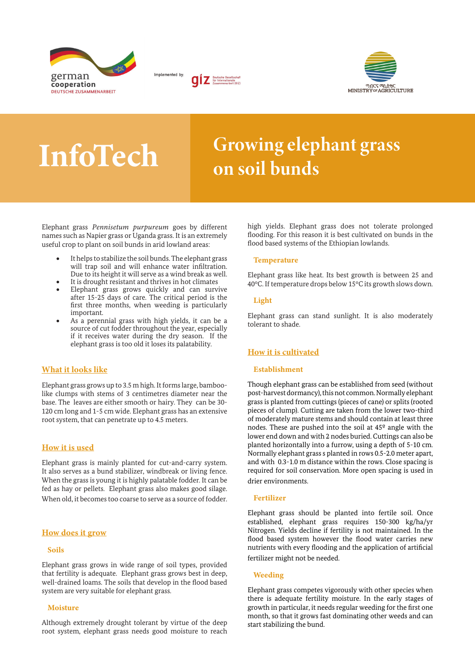





# InfoTech Growing elephant grass on soil bunds

Elephant grass *Pennisetum purpureum* goes by different names such as Napier grass or Uganda grass. It is an extremely useful crop to plant on soil bunds in arid lowland areas:

- It helps to stabilize the soil bunds. The elephant grass will trap soil and will enhance water infiltration. Due to its height it will serve as a wind break as well.
- It is drought resistant and thrives in hot climates
- Elephant grass grows quickly and can survive after 15-25 days of care. The critical period is the first three months, when weeding is particularly important.
- As a perennial grass with high yields, it can be a source of cut fodder throughout the year, especially if it receives water during the dry season. If the elephant grass is too old it loses its palatability.

# What it looks like

Elephant grass grows up to 3.5 m high. It forms large, bamboolike clumps with stems of 3 centimetres diameter near the base. The leaves are either smooth or hairy. They can be 30- 120 cm long and 1-5 cm wide. Elephant grass has an extensive root system, that can penetrate up to 4.5 meters.

# How it is used

Elephant grass is mainly planted for cut-and-carry system. It also serves as a bund stabilizer, windbreak or living fence. When the grass is young it is highly palatable fodder. It can be fed as hay or pellets. Elephant grass also makes good silage. When old, it becomes too coarse to serve as a source of fodder.

#### How does it grow

#### Soils

Elephant grass grows in wide range of soil types, provided that fertility is adequate. Elephant grass grows best in deep, well-drained loams. The soils that develop in the flood based system are very suitable for elephant grass.

#### Moisture

Although extremely drought tolerant by virtue of the deep root system, elephant grass needs good moisture to reach high yields. Elephant grass does not tolerate prolonged flooding. For this reason it is best cultivated on bunds in the flood based systems of the Ethiopian lowlands.

#### **Temperature**

Elephant grass like heat. Its best growth is between 25 and 40°C. If temperature drops below 15°C its growth slows down.

#### Light

Elephant grass can stand sunlight. It is also moderately tolerant to shade.

# How it is cultivated

#### Establishment

Though elephant grass can be established from seed (without post-harvest dormancy), this not common. Normally elephant grass is planted from cuttings (pieces of cane) or splits (rooted pieces of clump). Cutting are taken from the lower two-third of moderately mature stems and should contain at least three nodes. These are pushed into the soil at 45º angle with the lower end down and with 2 nodes buried. Cuttings can also be planted horizontally into a furrow, using a depth of 5-10 cm. Normally elephant grass s planted in rows 0.5-2.0 meter apart, and with 0.3-1.0 m distance within the rows. Close spacing is required for soil conservation. More open spacing is used in drier environments.

#### Fertilizer

Elephant grass should be planted into fertile soil. Once established, elephant grass requires 150-300 kg/ha/yr Nitrogen. Yields decline if fertility is not maintained. In the flood based system however the flood water carries new nutrients with every flooding and the application of artificial fertilizer might not be needed.

#### Weeding

Elephant grass competes vigorously with other species when there is adequate fertility moisture. In the early stages of growth in particular, it needs regular weeding for the first one month, so that it grows fast dominating other weeds and can start stabilizing the bund.